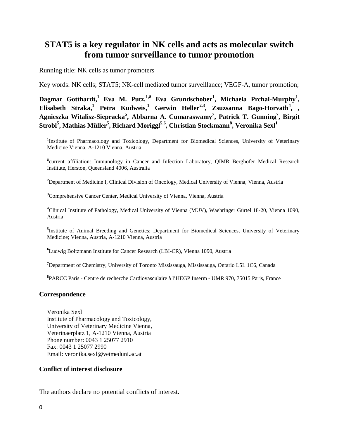# **STAT5 is a key regulator in NK cells and acts as molecular switch from tumor surveillance to tumor promotion**

Running title: NK cells as tumor promoters

Key words: NK cells; STAT5; NK-cell mediated tumor surveillance; VEGF-A, tumor promotion;

Dagmar Gotthardt,<sup>1</sup> Eva M. Putz,<sup>1, $\delta$ </sup> Eva Grundschober<sup>1</sup>, Michaela Prchal-Murphy<sup>1</sup>, **Elisabeth Straka,<sup>1</sup> Petra Kudweis,<sup>1</sup> Gerwin Heller<sup>2,3</sup>, Zsuzsanna Bago-Horvath<sup>4</sup>, ,** Agnieszka Witalisz-Siepracka<sup>5</sup>, Abbarna A. Cumaraswamy<sup>7</sup>, Patrick T. Gunning<sup>7</sup>, Birgit  $\boldsymbol{\delta}$ Strobl $^5$ , Mathias Müller $^5$ , Richard Moriggl $^{5,6}$ , Christian Stockmann $^8$ , Veronika Sexl $^1$ 

<sup>1</sup>Institute of Pharmacology and Toxicology, Department for Biomedical Sciences, University of Veterinary Medicine Vienna, A-1210 Vienna, Austria

**δ** current affiliation: Immunology in Cancer and Infection Laboratory, QIMR Berghofer Medical Research Institute, Herston, Queensland 4006, Australia

**2** Department of Medicine I, Clinical Division of Oncology, Medical University of Vienna, Vienna, Austria

<sup>3</sup> Comprehensive Cancer Center, Medical University of Vienna, Vienna, Austria

**4** Clinical Institute of Pathology, Medical University of Vienna (MUV), Waehringer Gürtel 18-20, Vienna 1090, Austria

**5** Institute of Animal Breeding and Genetics; Department for Biomedical Sciences, University of Veterinary Medicine; Vienna, Austria, A-1210 Vienna, Austria

**6** Ludwig Boltzmann Institute for Cancer Research (LBI-CR), Vienna 1090, Austria

**7** Department of Chemistry, University of Toronto Mississauga, Mississauga, Ontario L5L 1C6, Canada

**8** PARCC Paris - Centre de recherche Cardiovasculaire à l'HEGP Inserm - UMR 970, 75015 Paris, France

#### **Correspondence**

Veronika Sexl Institute of Pharmacology and Toxicology, University of Veterinary Medicine Vienna, Veterinaerplatz 1, A-1210 Vienna, Austria Phone number: 0043 1 25077 2910 Fax: 0043 1 25077 2990 Email: veronika.sexl@vetmeduni.ac.at

### **Conflict of interest disclosure**

The authors declare no potential conflicts of interest.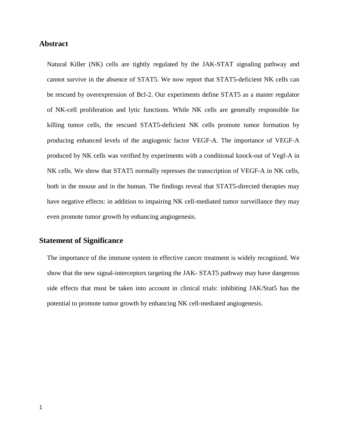# **Abstract**

Natural Killer (NK) cells are tightly regulated by the JAK-STAT signaling pathway and cannot survive in the absence of STAT5. We now report that STAT5-deficient NK cells can be rescued by overexpression of Bcl-2. Our experiments define STAT5 as a master regulator of NK-cell proliferation and lytic functions. While NK cells are generally responsible for killing tumor cells, the rescued STAT5-deficient NK cells promote tumor formation by producing enhanced levels of the angiogenic factor VEGF-A. The importance of VEGF-A produced by NK cells was verified by experiments with a conditional knock-out of Vegf-A in NK cells. We show that STAT5 normally represses the transcription of VEGF-A in NK cells, both in the mouse and in the human. The findings reveal that STAT5-directed therapies may have negative effects: in addition to impairing NK cell-mediated tumor surveillance they may even promote tumor growth by enhancing angiogenesis.

# **Statement of Significance**

The importance of the immune system in effective cancer treatment is widely recognized. We show that the new signal-interceptors targeting the JAK- STAT5 pathway may have dangerous side effects that must be taken into account in clinical trials: inhibiting JAK/Stat5 has the potential to promote tumor growth by enhancing NK cell-mediated angiogenesis.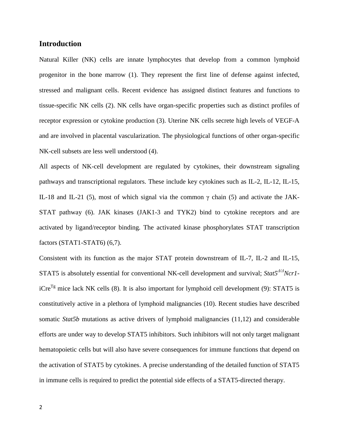# **Introduction**

Natural Killer (NK) cells are innate lymphocytes that develop from a common lymphoid progenitor in the bone marrow (1). They represent the first line of defense against infected, stressed and malignant cells. Recent evidence has assigned distinct features and functions to tissue-specific NK cells (2). NK cells have organ-specific properties such as distinct profiles of receptor expression or cytokine production (3). Uterine NK cells secrete high levels of VEGF-A and are involved in placental vascularization. The physiological functions of other organ-specific NK-cell subsets are less well understood (4).

All aspects of NK-cell development are regulated by cytokines, their downstream signaling pathways and transcriptional regulators. These include key cytokines such as IL-2, IL-12, IL-15, IL-18 and IL-21 (5), most of which signal via the common γ chain (5) and activate the JAK-STAT pathway (6). JAK kinases (JAK1-3 and TYK2) bind to cytokine receptors and are activated by ligand/receptor binding. The activated kinase phosphorylates STAT transcription factors (STAT1-STAT6) (6,7).

Consistent with its function as the major STAT protein downstream of IL-7, IL-2 and IL-15, STAT5 is absolutely essential for conventional NK-cell development and survival; *Stat5<sup>* $\Delta/\Delta$ *</sup>Ncr1*iCre<sup>Tg</sup> mice lack NK cells (8). It is also important for lymphoid cell development (9): STAT5 is constitutively active in a plethora of lymphoid malignancies (10). Recent studies have described somatic *Stat5b* mutations as active drivers of lymphoid malignancies (11,12) and considerable efforts are under way to develop STAT5 inhibitors. Such inhibitors will not only target malignant hematopoietic cells but will also have severe consequences for immune functions that depend on the activation of STAT5 by cytokines. A precise understanding of the detailed function of STAT5 in immune cells is required to predict the potential side effects of a STAT5-directed therapy.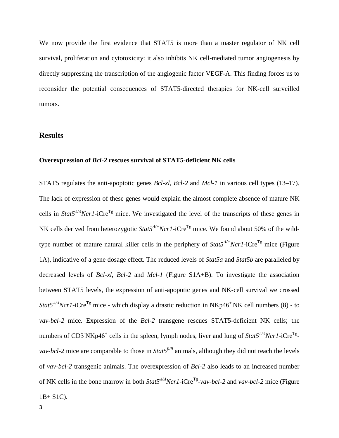We now provide the first evidence that STAT5 is more than a master regulator of NK cell survival, proliferation and cytotoxicity: it also inhibits NK cell-mediated tumor angiogenesis by directly suppressing the transcription of the angiogenic factor VEGF-A. This finding forces us to reconsider the potential consequences of STAT5-directed therapies for NK-cell surveilled tumors.

## **Results**

#### **Overexpression of** *Bcl-2* **rescues survival of STAT5-deficient NK cells**

STAT5 regulates the anti-apoptotic genes *Bcl-xl*, *Bcl-2* and *Mcl-1* in various cell types (13–17). The lack of expression of these genes would explain the almost complete absence of mature NK cells in *Stat5<sup>* $\Delta/\Delta$ *</sup>Ncr1*-iCre<sup>Tg</sup> mice. We investigated the level of the transcripts of these genes in NK cells derived from heterozygotic *Stat5<sup>Δ/+</sup>Ncr1*-iCre<sup>Tg</sup> mice. We found about 50% of the wildtype number of mature natural killer cells in the periphery of  $Stat5^{2/-}Ncr1$ -iCre<sup>Tg</sup> mice (Figure 1A), indicative of a gene dosage effect. The reduced levels of *Stat5a* and *Stat5b* are paralleled by decreased levels of *Bcl-xl, Bcl-2* and *Mcl-1* (Figure S1A+B). To investigate the association between STAT5 levels, the expression of anti-apopotic genes and NK-cell survival we crossed *Stat5<sup>Δ</sup>/<sup>Δ</sup> Ncr1*-iCreTg mice - which display a drastic reduction in NKp46+ NK cell numbers (8) - to *vav-bcl-2* mice. Expression of the *Bcl-2* transgene rescues STAT5-deficient NK cells; the numbers of CD3<sup>-</sup>NKp46<sup>+</sup> cells in the spleen, lymph nodes, liver and lung of *Stat5<sup>* $\Delta$ */</sup>Acr1*-iCre<sup>Tg</sup>*vav-bcl-2* mice are comparable to those in *Stat5<sup>fl/fl</sup>* animals, although they did not reach the levels of *vav-bcl-2* transgenic animals. The overexpression of *Bcl-2* also leads to an increased number of NK cells in the bone marrow in both *Stat5<sup>Δ</sup>/<sup>Δ</sup> Ncr1-*iCreTg-*vav-bcl-2* and *vav-bcl-2* mice (Figure  $1B + S1C$ ).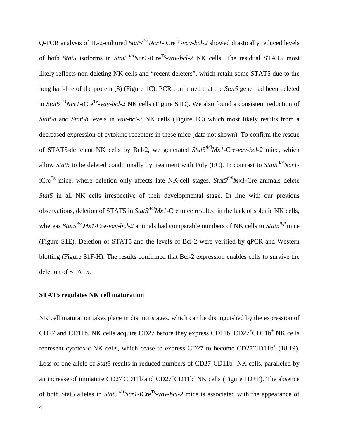Q-PCR analysis of IL-2-cultured *Stat5<sup>* $\Delta$ */A</sup>Ncr1*-iCre<sup>Tg</sup>-*vav-bcl-2* showed drastically reduced levels of both *Stat5* isoforms in *Stat5<sup>* $\Delta$ */A</sup>Ncr1*-iCre<sup>Tg</sup>-*vav-bcl-2* NK cells. The residual STAT5 most likely reflects non-deleting NK cells and "recent deleters", which retain some STAT5 due to the long half-life of the protein (8) (Figure 1C). PCR confirmed that the *Stat5* gene had been deleted in *Stat5<sup>* $A/A$ *</sup>Ncr1*-iCre<sup>Tg</sup>-*vav-bcl-2* NK cells (Figure S1D). We also found a consistent reduction of *Stat5a* and *Stat5b* levels in *vav-bcl-2* NK cells (Figure 1C) which most likely results from a decreased expression of cytokine receptors in these mice (data not shown). To confirm the rescue of STAT5-deficient NK cells by Bcl-2, we generated *Stat5fl/flMx1-*Cre-*vav-bcl-2* mice, which allow *Stat5* to be deleted conditionally by treatment with Poly (I:C). In contrast to *Stat5<sup>* $A/A$ *</sup>Ncr1*iCre<sup>Tg</sup> mice, where deletion only affects late NK-cell stages,  $Stat5<sup>f/f</sup>MxI$ -Cre animals delete *Stat5* in all NK cells irrespective of their developmental stage. In line with our previous observations, deletion of STAT5 in *Stat5<sup>Δ</sup>/<sup>Δ</sup> Mx1*-Cre mice resulted in the lack of splenic NK cells, whereas *Stat5<sup>Δ</sup>/<sup>Δ</sup> Mx1*-Cre-*vav-bcl-2* animals had comparable numbers of NK cells to *Stat5fl/fl* mice (Figure S1E). Deletion of STAT5 and the levels of Bcl-2 were verified by qPCR and Western blotting (Figure S1F-H). The results confirmed that Bcl-2 expression enables cells to survive the deletion of STAT5.

### **STAT5 regulates NK cell maturation**

NK cell maturation takes place in distinct stages, which can be distinguished by the expression of CD27 and CD11b. NK cells acquire CD27 before they express CD11b. CD27<sup>+</sup>CD11b<sup>+</sup> NK cells represent cytotoxic NK cells, which cease to express CD27 to become  $CD27CD11b<sup>+</sup>$  (18,19). Loss of one allele of *Stat5* results in reduced numbers of CD27<sup>+</sup>CD11b<sup>+</sup> NK cells, paralleled by an increase of immature CD27 CD11b and CD27<sup>+</sup>CD11b NK cells (Figure 1D+E). The absence of both Stat5 alleles in *Stat5<sup>Δ</sup>/<sup>Δ</sup> Ncr1-*iCreTg-*vav-bcl-2* mice is associated with the appearance of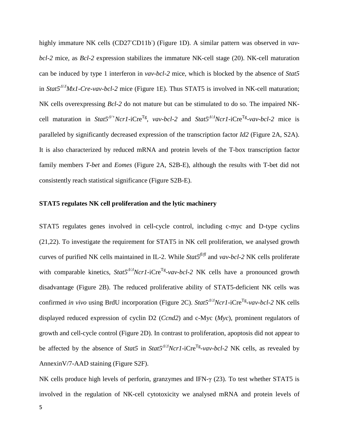highly immature NK cells (CD27<sup>CD11b</sup>) (Figure 1D). A similar pattern was observed in *vavbcl-2* mice, as *Bcl-2* expression stabilizes the immature NK-cell stage (20). NK-cell maturation can be induced by type 1 interferon in *vav-bcl-2* mice, which is blocked by the absence of *Stat5* in *Stat5<sup>Δ</sup>/<sup>Δ</sup> Mx1-Cre*-*vav-bcl-2* mice (Figure 1E). Thus STAT5 is involved in NK-cell maturation; NK cells overexpressing *Bcl-2* do not mature but can be stimulated to do so. The impaired NKcell maturation in *Stat5<sup>Δ</sup>/+Ncr1*-iCreTg, *vav-bcl-2* and *Stat5<sup>Δ</sup>/<sup>Δ</sup> Ncr1-*iCreTg-*vav-bcl-2* mice is paralleled by significantly decreased expression of the transcription factor *Id2* (Figure 2A, S2A). It is also characterized by reduced mRNA and protein levels of the T-box transcription factor family members *T-bet* and *Eomes* (Figure 2A, S2B-E), although the results with T-bet did not consistently reach statistical significance (Figure S2B-E).

#### **STAT5 regulates NK cell proliferation and the lytic machinery**

STAT5 regulates genes involved in cell-cycle control, including c-myc and D-type cyclins (21,22). To investigate the requirement for STAT5 in NK cell proliferation, we analysed growth curves of purified NK cells maintained in IL-2. While *Stat5fl/fl* and *vav-bcl-2* NK cells proliferate with comparable kinetics,  $Stat5^{A/A}Ncrl$ -iCre<sup>Tg</sup>-*vav-bcl-2* NK cells have a pronounced growth disadvantage (Figure 2B). The reduced proliferative ability of STAT5-deficient NK cells was confirmed *in vivo* using BrdU incorporation (Figure 2C). *Stat5<sup>* $A/A$ *</sup>Ncr1*-iCre<sup>Tg</sup>-*vav-bcl-2* NK cells displayed reduced expression of cyclin D2 (*Ccnd2*) and c-Myc (*Myc*)*,* prominent regulators of growth and cell-cycle control (Figure 2D). In contrast to proliferation, apoptosis did not appear to be affected by the absence of *Stat5* in *Stat5<sup>* $\Delta$ */A*</sup>*Ncr1*-iCre<sup>Tg</sup>-*vav-bcl-2* NK cells, as revealed by AnnexinV/7-AAD staining (Figure S2F).

NK cells produce high levels of perforin, granzymes and IFN-γ (23). To test whether STAT5 is involved in the regulation of NK-cell cytotoxicity we analysed mRNA and protein levels of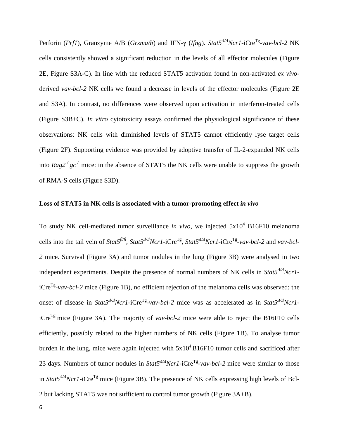Perforin (*Prf1*)*,* Granzyme A/B (*Grzma/b*) and IFN-γ (*Ifng*). *Stat5<sup>Δ</sup>/<sup>Δ</sup> Ncr1-*iCreTg-*vav-bcl-2* NK cells consistently showed a significant reduction in the levels of all effector molecules (Figure 2E, Figure S3A-C). In line with the reduced STAT5 activation found in non-activated *ex vivo*derived *vav-bcl-2* NK cells we found a decrease in levels of the effector molecules (Figure 2E and S3A). In contrast, no differences were observed upon activation in interferon-treated cells (Figure S3B+C). *In vitro* cytotoxicity assays confirmed the physiological significance of these observations: NK cells with diminished levels of STAT5 cannot efficiently lyse target cells (Figure 2F). Supporting evidence was provided by adoptive transfer of IL-2-expanded NK cells into  $Rag2^{-/2}gc^{-/2}$  mice: in the absence of STAT5 the NK cells were unable to suppress the growth of RMA-S cells (Figure S3D).

## **Loss of STAT5 in NK cells is associated with a tumor-promoting effect** *in vivo*

To study NK cell-mediated tumor surveillance *in vivo*, we injected  $5x10^4$  B16F10 melanoma cells into the tail vein of *Stat5fl/fl, Stat5Δ/<sup>Δ</sup> Ncr1-*iCreTg, *Stat5<sup>Δ</sup>/<sup>Δ</sup> Ncr1-*iCreTg-*vav-bcl-2* and *vav-bcl-2* mice. Survival (Figure 3A) and tumor nodules in the lung (Figure 3B) were analysed in two independent experiments. Despite the presence of normal numbers of NK cells in *Stat5<sup>* $A/A$ *</sup>Ncr1*iCreTg-*vav-bcl-2* mice (Figure 1B), no efficient rejection of the melanoma cells was observed: the onset of disease in *Stat5<sup>* $\Delta$ */* $\Delta$ *</sup>Ncr1*-iCre<sup>Tg</sup>-*vav-bcl*-2 mice was as accelerated as in *Stat5*<sup> $\Delta$ / $\Delta$ Ncr1-</sup> iCre<sup>Tg</sup> mice (Figure 3A). The majority of *vav-bcl-2* mice were able to reject the B16F10 cells efficiently, possibly related to the higher numbers of NK cells (Figure 1B). To analyse tumor burden in the lung, mice were again injected with  $5x10^4B16F10$  tumor cells and sacrificed after 23 days. Numbers of tumor nodules in *Stat5<sup>Δ</sup>/<sup>Δ</sup> Ncr1-*iCreTg-*vav-bcl-2* mice were similar to those in *Stat5<sup>* $\Delta$ */* $\Delta$ *</sup>Ncr1*-iCre<sup>Tg</sup> mice (Figure 3B). The presence of NK cells expressing high levels of Bcl-2 but lacking STAT5 was not sufficient to control tumor growth (Figure 3A+B).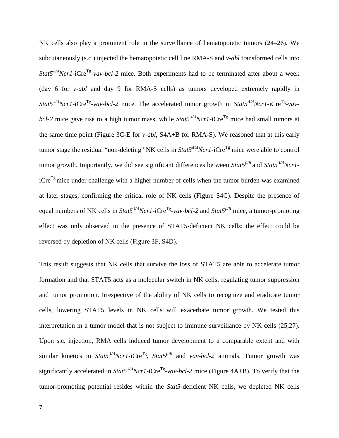NK cells also play a prominent role in the surveillance of hematopoietic tumors (24–26). We subcutaneously (s.c.) injected the hematopoietic cell line RMA-S and *v-abl* transformed cells into *Stat5<sup>Δ</sup>/<sup>Δ</sup> Ncr1-*iCreTg-*vav-bcl-2* mice. Both experiments had to be terminated after about a week (day 6 for *v-abl* and day 9 for RMA-S cells) as tumors developed extremely rapidly in  $Stat5^{A/A}Ncr1$ -iCre<sup>Tg</sup>-*vav-bcl-2* mice. The accelerated tumor growth in *Stat5<sup>* $A/A$ *</sup>Ncrl*-iCre<sup>Tg</sup>-*vavbcl-2* mice gave rise to a high tumor mass, while *Stat5<sup>Δ</sup>/<sup>Δ</sup> Ncr1-*iCreTg mice had small tumors at the same time point (Figure 3C-E for *v-abl*, S4A+B for RMA-S). We reasoned that at this early tumor stage the residual "non-deleting" NK cells in *Stat5<sup>* $\Delta/\Delta$ *</sup>Ncr1*-iCre<sup>Tg</sup> mice were able to control tumor growth. Importantly, we did see significant differences between *Stat5fl/fl* and *Stat5<sup>Δ</sup>/<sup>Δ</sup> Ncr1*  $iCre^{Tg}$  mice under challenge with a higher number of cells when the tumor burden was examined at later stages, confirming the critical role of NK cells (Figure S4C). Despite the presence of equal numbers of NK cells in *Stat5<sup>Δ</sup>/<sup>Δ</sup> Ncr1-*iCreTg-*vav-bcl-2* and *Stat5fl/fl* mice, a tumor-promoting effect was only observed in the presence of STAT5-deficient NK cells; the effect could be reversed by depletion of NK cells (Figure 3F, S4D).

This result suggests that NK cells that survive the loss of STAT5 are able to accelerate tumor formation and that STAT5 acts as a molecular switch in NK cells, regulating tumor suppression and tumor promotion. Irrespective of the ability of NK cells to recognize and eradicate tumor cells, lowering STAT5 levels in NK cells will exacerbate tumor growth. We tested this interpretation in a tumor model that is not subject to immune surveillance by NK cells (25,27). Upon s.c. injection, RMA cells induced tumor development to a comparable extent and with similar kinetics in *Stat5<sup>* $\Delta$ */* $\Delta$ *</sup>Ncr1*-iCre<sup>Tg</sup>, *Stat5*<sup> $\pi$ *J* $\pi$ </sup> and *vav-bcl-2* animals. Tumor growth was significantly accelerated in *Stat5<sup>* $\Delta/\Delta$ *</sup>Ncr1*-iCre<sup>Tg</sup>-*vav-bcl-2* mice (Figure 4A+B). To verify that the tumor-promoting potential resides within the *Stat5*-deficient NK cells, we depleted NK cells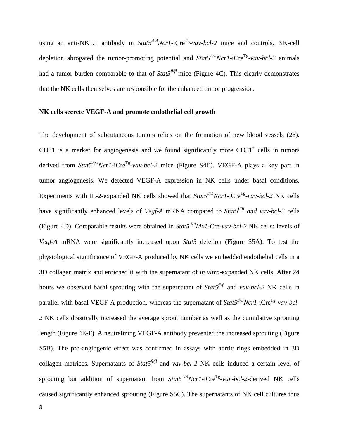using an anti-NK1.1 antibody in *Stat5<sup>* $\Delta/\Delta$ *</sup>Ncr1*-iCre<sup>Tg</sup>-*vav-bcl-2* mice and controls. NK-cell depletion abrogated the tumor-promoting potential and *Stat5<sup>Δ</sup>/<sup>Δ</sup> Ncr1-*iCreTg-*vav-bcl-2* animals had a tumor burden comparable to that of  $Stat5<sup>f\mid f\mid f</sup>$  mice (Figure 4C). This clearly demonstrates that the NK cells themselves are responsible for the enhanced tumor progression.

#### **NK cells secrete VEGF-A and promote endothelial cell growth**

The development of subcutaneous tumors relies on the formation of new blood vessels (28). CD31 is a marker for angiogenesis and we found significantly more  $CD31<sup>+</sup>$  cells in tumors derived from *Stat5<sup>Δ</sup>/<sup>Δ</sup> Ncr1-*iCreTg-*vav-bcl-2* mice (Figure S4E). VEGF-A plays a key part in tumor angiogenesis. We detected VEGF-A expression in NK cells under basal conditions. Experiments with IL-2-expanded NK cells showed that  $Stat5^{A/A}Ncr1$ -iCre<sup>Tg</sup>-*vav-bcl-2* NK cells have significantly enhanced levels of *Vegf-A* mRNA compared to *Stat5fl/fl and vav-bcl-2* cells (Figure 4D). Comparable results were obtained in *Stat5<sup>Δ</sup>/<sup>Δ</sup> Mx1-*Cre-*vav-bcl-2* NK cells: levels of *Vegf-A* mRNA were significantly increased upon *Stat5* deletion (Figure S5A). To test the physiological significance of VEGF-A produced by NK cells we embedded endothelial cells in a 3D collagen matrix and enriched it with the supernatant of *in vitro*-expanded NK cells. After 24 hours we observed basal sprouting with the supernatant of *Stat5fl/fl* and *vav-bcl-2* NK cells in parallel with basal VEGF-A production, whereas the supernatant of *Stat5<sup>* $\Delta/\Delta$ *</sup>Ncr1*-iCre<sup>Tg</sup>-*vav-bcl*-*2* NK cells drastically increased the average sprout number as well as the cumulative sprouting length (Figure 4E-F). A neutralizing VEGF-A antibody prevented the increased sprouting (Figure S5B). The pro-angiogenic effect was confirmed in assays with aortic rings embedded in 3D collagen matrices. Supernatants of *Stat5fl/fl* and *vav-bcl-2* NK cells induced a certain level of sprouting but addition of supernatant from *Stat5<sup>* $\Delta/\Delta$ *</sup>Ncr1*-iCre<sup>Tg</sup>-*vav-bcl-2*-derived NK cells caused significantly enhanced sprouting (Figure S5C). The supernatants of NK cell cultures thus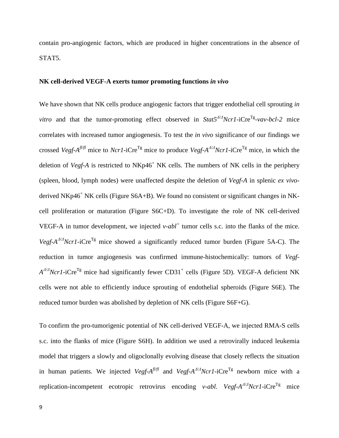contain pro-angiogenic factors, which are produced in higher concentrations in the absence of STAT5.

#### **NK cell-derived VEGF-A exerts tumor promoting functions** *in vivo*

We have shown that NK cells produce angiogenic factors that trigger endothelial cell sprouting *in vitro* and that the tumor-promoting effect observed in *Stat5<sup>* $A/A$ *</sup>Ncrl*-iCre<sup>Tg</sup>-*vav-bcl-2* mice correlates with increased tumor angiogenesis. To test the *in vivo* significance of our findings we crossed *Vegf-Afl/fl* mice to *Ncr1-*iCreTg mice to produce *Vegf-A<sup>Δ</sup>/<sup>Δ</sup> Ncr1-*iCreTg mice, in which the deletion of *Vegf-A* is restricted to NKp46<sup>+</sup> NK cells. The numbers of NK cells in the periphery (spleen, blood, lymph nodes) were unaffected despite the deletion of *Vegf-A* in splenic *ex vivo*derived  $NKp46^+$  NK cells (Figure S6A+B). We found no consistent or significant changes in NKcell proliferation or maturation (Figure S6C+D). To investigate the role of NK cell-derived VEGF-A in tumor development, we injected  $v$ - $abt^+$  tumor cells s.c. into the flanks of the mice. *Vegf-A<sup>* $\Delta$ */Δ</sup>Ncr1*-iCre<sup>Tg</sup> mice showed a significantly reduced tumor burden (Figure 5A-C). The reduction in tumor angiogenesis was confirmed immune-histochemically: tumors of *Vegf-A*<sup> $\Delta$ / $\Delta$ *Ncr1*-iCre<sup>Tg</sup> mice had significantly fewer CD31<sup>+</sup> cells (Figure 5D). VEGF-A deficient NK</sup> cells were not able to efficiently induce sprouting of endothelial spheroids (Figure S6E). The reduced tumor burden was abolished by depletion of NK cells (Figure S6F+G).

To confirm the pro-tumorigenic potential of NK cell-derived VEGF-A, we injected RMA-S cells s.c. into the flanks of mice (Figure S6H). In addition we used a retrovirally induced leukemia model that triggers a slowly and oligoclonally evolving disease that closely reflects the situation in human patients. We injected *Vegf-A<sup>fl/fl</sup>* and *Vegf-A<sup>* $\Delta/\Delta$ *</sup>Ncrl*-iCre<sup>Tg</sup> newborn mice with a replication-incompetent ecotropic retrovirus encoding *v-abl. Vegf-A<sup>* $\Delta$ */</sup>AlcrI*-iCre<sup>Tg</sup> mice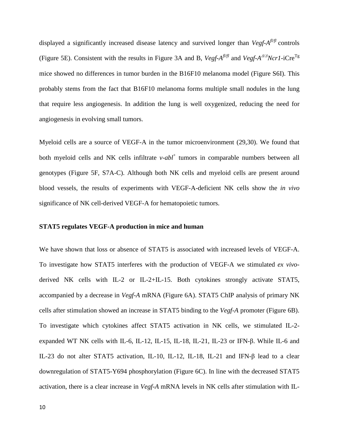displayed a significantly increased disease latency and survived longer than *Vegf-A<sup>fl/fl</sup>* controls (Figure 5E). Consistent with the results in Figure 3A and B, *Vegf-Afl/fl* and *Vegf-A<sup>Δ</sup>/<sup>Δ</sup> Ncr1-*iCreTg mice showed no differences in tumor burden in the B16F10 melanoma model (Figure S6I). This probably stems from the fact that B16F10 melanoma forms multiple small nodules in the lung that require less angiogenesis. In addition the lung is well oxygenized, reducing the need for angiogenesis in evolving small tumors.

Myeloid cells are a source of VEGF-A in the tumor microenvironment (29,30). We found that both myeloid cells and NK cells infiltrate *v-abl*<sup>+</sup> tumors in comparable numbers between all genotypes (Figure 5F, S7A-C). Although both NK cells and myeloid cells are present around blood vessels, the results of experiments with VEGF-A-deficient NK cells show the *in vivo* significance of NK cell-derived VEGF-A for hematopoietic tumors.

#### **STAT5 regulates VEGF-A production in mice and human**

We have shown that loss or absence of STAT5 is associated with increased levels of VEGF-A. To investigate how STAT5 interferes with the production of VEGF-A we stimulated *ex vivo*derived NK cells with IL-2 or IL-2+IL-15. Both cytokines strongly activate STAT5, accompanied by a decrease in *Vegf-A* mRNA (Figure 6A). STAT5 ChIP analysis of primary NK cells after stimulation showed an increase in STAT5 binding to the *Vegf-A* promoter (Figure 6B). To investigate which cytokines affect STAT5 activation in NK cells, we stimulated IL-2 expanded WT NK cells with IL-6, IL-12, IL-15, IL-18, IL-21, IL-23 or IFN-β. While IL-6 and IL-23 do not alter STAT5 activation, IL-10, IL-12, IL-18, IL-21 and IFN-β lead to a clear downregulation of STAT5-Y694 phosphorylation (Figure 6C). In line with the decreased STAT5 activation, there is a clear increase in *Vegf-A* mRNA levels in NK cells after stimulation with IL-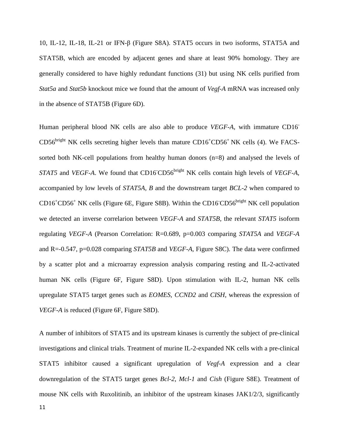10, IL-12, IL-18, IL-21 or IFN-β (Figure S8A). STAT5 occurs in two isoforms, STAT5A and STAT5B, which are encoded by adjacent genes and share at least 90% homology. They are generally considered to have highly redundant functions (31) but using NK cells purified from *Stat5a* and *Stat5b* knockout mice we found that the amount of *Vegf-A* mRNA was increased only in the absence of STAT5B (Figure 6D).

Human peripheral blood NK cells are also able to produce *VEGF-A*, with immature CD16-  $CD56<sup>bright</sup> NK cells secreting higher levels than mature  $CD16<sup>+</sup>CD56<sup>+</sup> NK$  cells (4). We FACS$ sorted both NK-cell populations from healthy human donors (n=8) and analysed the levels of *STAT5* and *VEGF-A*. We found that CD16<sup>-</sup>CD56<sup>bright</sup> NK cells contain high levels of *VEGF-A*, accompanied by low levels of *STAT5A, B* and the downstream target *BCL-2* when compared to  $CD16<sup>+</sup>CD56<sup>+</sup>$  NK cells (Figure 6E, Figure S8B). Within the CD16 CD56<sup>bright</sup> NK cell population we detected an inverse correlarion between *VEGF-A* and *STAT5B,* the relevant *STAT5* isoform regulating *VEGF-A* (Pearson Correlation: R=0.689, p=0.003 comparing *STAT5A* and *VEGF-A*  and R=-0.547, p=0.028 comparing *STAT5B* and *VEGF-A*, Figure S8C). The data were confirmed by a scatter plot and a microarray expression analysis comparing resting and IL-2-activated human NK cells (Figure 6F, Figure S8D). Upon stimulation with IL-2, human NK cells upregulate STAT5 target genes such as *EOMES*, *CCND2* and *CISH*, whereas the expression of *VEGF-A* is reduced (Figure 6F, Figure S8D).

A number of inhibitors of STAT5 and its upstream kinases is currently the subject of pre-clinical investigations and clinical trials. Treatment of murine IL-2-expanded NK cells with a pre-clinical STAT5 inhibitor caused a significant upregulation of *Vegf-A* expression and a clear downregulation of the STAT5 target genes *Bcl-2*, *Mcl-1* and *Cish* (Figure S8E). Treatment of mouse NK cells with Ruxolitinib, an inhibitor of the upstream kinases JAK1/2/3, significantly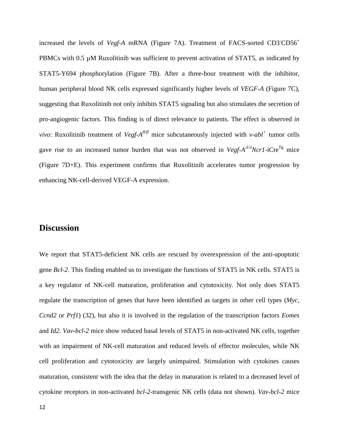increased the levels of *Vegf-A* mRNA (Figure 7A). Treatment of FACS-sorted CD3 CD56<sup>+</sup> PBMCs with 0.5  $\mu$ M Ruxolitinib was sufficient to prevent activation of STAT5, as indicated by STAT5-Y694 phosphorylation (Figure 7B). After a three-hour treatment with the inhibitor, human peripheral blood NK cells expressed significantly higher levels of *VEGF-A* (Figure 7C), suggesting that Ruxolitinib not only inhibits STAT5 signaling but also stimulates the secretion of pro-angiogenic factors. This finding is of direct relevance to patients. The effect is observed *in vivo*: Ruxolitinib treatment of *Vegf-A<sup>fl/fl</sup>* mice subcutaneously injected with *v-abl<sup>+</sup>* tumor cells gave rise to an increased tumor burden that was not observed in *Vegf-A*<sup> $\Delta$ /</sup>*Acr1*-iCre<sup>Tg</sup> mice (Figure 7D+E). This experiment confirms that Ruxolitinib accelerates tumor progression by enhancing NK-cell-derived VEGF-A expression.

# **Discussion**

We report that STAT5-deficient NK cells are rescued by overexpression of the anti-apoptotic gene *Bcl-2*. This finding enabled us to investigate the functions of STAT5 in NK cells. STAT5 is a key regulator of NK-cell maturation, proliferation and cytotoxicity. Not only does STAT5 regulate the transcription of genes that have been identified as targets in other cell types (*Myc*, *Ccnd2* or *Prf1*) (32), but also it is involved in the regulation of the transcription factors *Eomes* and *Id2*. *Vav-bcl-2* mice show reduced basal levels of STAT5 in non-activated NK cells, together with an impairment of NK-cell maturation and reduced levels of effector molecules, while NK cell proliferation and cytotoxicity are largely unimpaired. Stimulation with cytokines causes maturation, consistent with the idea that the delay in maturation is related to a decreased level of cytokine receptors in non-activated *bcl-2*-transgenic NK cells (data not shown). *Vav-bcl-2* mice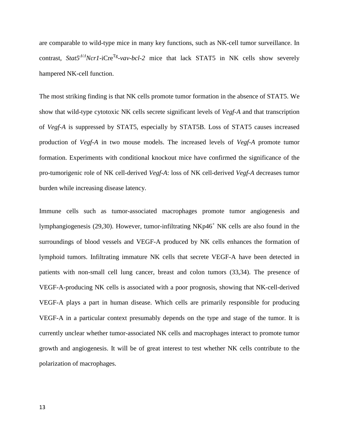are comparable to wild-type mice in many key functions, such as NK-cell tumor surveillance. In contrast, *Stat5<sup>* $\Delta$ */A</sup>Ncr1*-iCre<sup>Tg</sup>-*vav-bcl*-2 mice that lack STAT5 in NK cells show severely hampered NK-cell function.

The most striking finding is that NK cells promote tumor formation in the absence of STAT5. We show that wild-type cytotoxic NK cells secrete significant levels of *Vegf-A* and that transcription of *Vegf-A* is suppressed by STAT5, especially by STAT5B. Loss of STAT5 causes increased production of *Vegf-A* in two mouse models. The increased levels of *Vegf-A* promote tumor formation. Experiments with conditional knockout mice have confirmed the significance of the pro-tumorigenic role of NK cell-derived *Vegf-A*: loss of NK cell-derived *Vegf-A* decreases tumor burden while increasing disease latency.

Immune cells such as tumor-associated macrophages promote tumor angiogenesis and lymphangiogenesis (29,30). However, tumor-infiltrating  $N\text{Kp46}^+$  NK cells are also found in the surroundings of blood vessels and VEGF-A produced by NK cells enhances the formation of lymphoid tumors. Infiltrating immature NK cells that secrete VEGF-A have been detected in patients with non-small cell lung cancer, breast and colon tumors (33,34). The presence of VEGF-A-producing NK cells is associated with a poor prognosis, showing that NK-cell-derived VEGF-A plays a part in human disease. Which cells are primarily responsible for producing VEGF-A in a particular context presumably depends on the type and stage of the tumor. It is currently unclear whether tumor-associated NK cells and macrophages interact to promote tumor growth and angiogenesis. It will be of great interest to test whether NK cells contribute to the polarization of macrophages.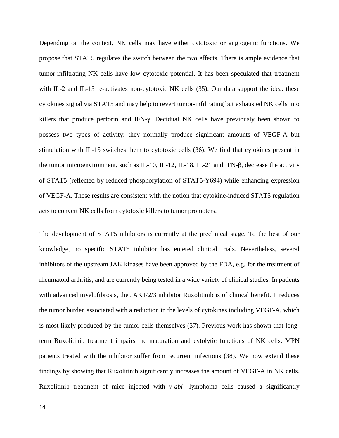Depending on the context, NK cells may have either cytotoxic or angiogenic functions. We propose that STAT5 regulates the switch between the two effects. There is ample evidence that tumor-infiltrating NK cells have low cytotoxic potential. It has been speculated that treatment with IL-2 and IL-15 re-activates non-cytotoxic NK cells (35). Our data support the idea: these cytokines signal via STAT5 and may help to revert tumor-infiltrating but exhausted NK cells into killers that produce perforin and IFN-γ. Decidual NK cells have previously been shown to possess two types of activity: they normally produce significant amounts of VEGF-A but stimulation with IL-15 switches them to cytotoxic cells (36). We find that cytokines present in the tumor microenvironment, such as IL-10, IL-12, IL-18, IL-21 and IFN-β, decrease the activity of STAT5 (reflected by reduced phosphorylation of STAT5-Y694) while enhancing expression of VEGF-A. These results are consistent with the notion that cytokine-induced STAT5 regulation acts to convert NK cells from cytotoxic killers to tumor promoters.

The development of STAT5 inhibitors is currently at the preclinical stage. To the best of our knowledge, no specific STAT5 inhibitor has entered clinical trials. Nevertheless, several inhibitors of the upstream JAK kinases have been approved by the FDA, e.g. for the treatment of rheumatoid arthritis, and are currently being tested in a wide variety of clinical studies. In patients with advanced myelofibrosis, the JAK1/2/3 inhibitor Ruxolitinib is of clinical benefit. It reduces the tumor burden associated with a reduction in the levels of cytokines including VEGF-A, which is most likely produced by the tumor cells themselves (37). Previous work has shown that longterm Ruxolitinib treatment impairs the maturation and cytolytic functions of NK cells. MPN patients treated with the inhibitor suffer from recurrent infections (38). We now extend these findings by showing that Ruxolitinib significantly increases the amount of VEGF-A in NK cells. Ruxolitinib treatment of mice injected with *v-abl*<sup>+</sup> lymphoma cells caused a significantly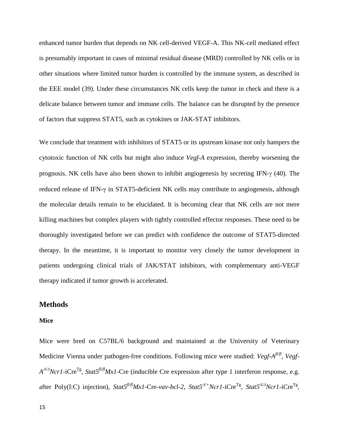enhanced tumor burden that depends on NK cell-derived VEGF-A. This NK-cell mediated effect is presumably important in cases of minimal residual disease (MRD) controlled by NK cells or in other situations where limited tumor burden is controlled by the immune system, as described in the EEE model (39). Under these circumstances NK cells keep the tumor in check and there is a delicate balance between tumor and immune cells. The balance can be disrupted by the presence of factors that suppress STAT5, such as cytokines or JAK-STAT inhibitors.

We conclude that treatment with inhibitors of STAT5 or its upstream kinase not only hampers the cytotoxic function of NK cells but might also induce *Vegf-A* expression, thereby worsening the prognosis. NK cells have also been shown to inhibit angiogenesis by secreting IFN-γ (40). The reduced release of IFN-γ in STAT5-deficient NK cells may contribute to angiogenesis, although the molecular details remain to be elucidated. It is becoming clear that NK cells are not mere killing machines but complex players with tightly controlled effector responses. These need to be thoroughly investigated before we can predict with confidence the outcome of STAT5-directed therapy. In the meantime, it is important to monitor very closely the tumor development in patients undergoing clinical trials of JAK/STAT inhibitors, with complementary anti-VEGF therapy indicated if tumor growth is accelerated.

## **Methods**

#### **Mice**

Mice were bred on C57BL/6 background and maintained at the University of Veterinary Medicine Vienna under pathogen-free conditions. Following mice were studied: *Vegf-Afl/fl*, *Vegf-A*<sup>Δ/Δ</sup>*Ncr1*-iCre<sup>Tg</sup>, *Stat5<sup>fl/fl</sup>Mx1*-Cre (inducible Cre expression after type 1 interferon response, e.g. after Poly(I:C) injection), *Stat5fl/flMx1-*Cre*-vav-bcl-2*, *Stat5<sup>Δ</sup>/+Ncr1*-iCreTg, *Stat5<sup>Δ</sup>/<sup>Δ</sup> Ncr1-*iCreTg,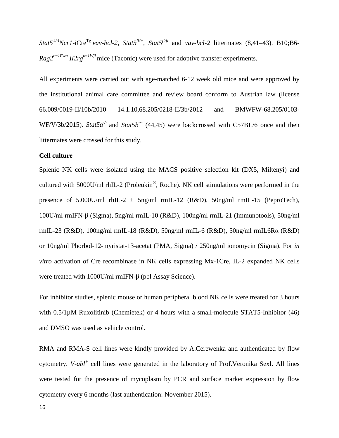$Stat5^{A/A}Ncr1$ -iCre<sup>Tg-</sup>vav-bcl-2,  $Stat5^{fU+}$ ,  $Stat5^{fU+fU}$  and *vav-bcl-2* littermates (8,41–43). B10;B6-*Rag2<sup>tm1Fwa</sup> II2rg<sup>tm1Wjl</sup>*mice (Taconic) were used for adoptive transfer experiments.

All experiments were carried out with age-matched 6-12 week old mice and were approved by the institutional animal care committee and review board conform to Austrian law (license 66.009/0019-II/10b/2010 14.1.10,68.205/0218-II/3b/2012 and BMWFW-68.205/0103- WF/V/3b/2015). *Stat5a<sup>-/-</sup>* and *Stat5b<sup>-/-</sup>* (44,45) were backcrossed with C57BL/6 once and then littermates were crossed for this study.

## **Cell culture**

Splenic NK cells were isolated using the MACS positive selection kit (DX5, Miltenyi) and cultured with 5000U/ml rhIL-2 (Proleukin®, Roche). NK cell stimulations were performed in the presence of 5.000U/ml rhIL-2  $\pm$  5ng/ml rmIL-12 (R&D), 50ng/ml rmIL-15 (PeproTech), 100U/ml rmIFN-β (Sigma), 5ng/ml rmIL-10 (R&D), 100ng/ml rmIL-21 (Immunotools), 50ng/ml rmIL-23 (R&D), 100ng/ml rmIL-18 (R&D), 50ng/ml rmIL-6 (R&D), 50ng/ml rmIL6Rα (R&D) or 10ng/ml Phorbol-12-myristat-13-acetat (PMA, Sigma) / 250ng/ml ionomycin (Sigma). For *in vitro* activation of Cre recombinase in NK cells expressing Mx-1Cre, IL-2 expanded NK cells were treated with 1000U/ml rmIFN-β (pbl Assay Science).

For inhibitor studies, splenic mouse or human peripheral blood NK cells were treated for 3 hours with  $0.5/1\mu$ M Ruxolitinib (Chemietek) or 4 hours with a small-molecule STAT5-Inhibitor (46) and DMSO was used as vehicle control.

RMA and RMA-S cell lines were kindly provided by A.Cerewenka and authenticated by flow cytometry. *V-abl<sup>+</sup>* cell lines were generated in the laboratory of Prof.Veronika Sexl. All lines were tested for the presence of mycoplasm by PCR and surface marker expression by flow cytometry every 6 months (last authentication: November 2015).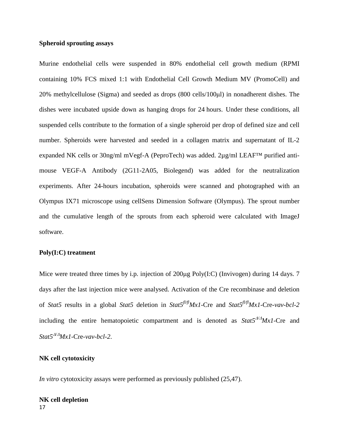### **Spheroid sprouting assays**

Murine endothelial cells were suspended in 80% endothelial cell growth medium (RPMI containing 10% FCS mixed 1:1 with Endothelial Cell Growth Medium MV (PromoCell) and 20% methylcellulose (Sigma) and seeded as drops (800 cells/100μl) in nonadherent dishes. The dishes were incubated upside down as hanging drops for 24 hours. Under these conditions, all suspended cells contribute to the formation of a single spheroid per drop of defined size and cell number. Spheroids were harvested and seeded in a collagen matrix and supernatant of IL-2 expanded NK cells or 30ng/ml mVegf-A (PeproTech) was added. 2µg/ml LEAF<sup>TM</sup> purified antimouse VEGF-A Antibody [\(2G11-2A05,](http://www.biolegend.com/index.php?page=pro_sub_cat&action=search_clone&criteria=2G11-2A05) Biolegend) was added for the neutralization experiments. After 24-hours incubation, spheroids were scanned and photographed with an Olympus IX71 microscope using cellSens Dimension Software (Olympus). The sprout number and the cumulative length of the sprouts from each spheroid were calculated with ImageJ software.

#### **Poly(I:C) treatment**

Mice were treated three times by i.p. injection of 200µg Poly(I:C) (Invivogen) during 14 days. 7 days after the last injection mice were analysed. Activation of the Cre recombinase and deletion of *Stat5* results in a global *Stat5* deletion in *Stat5fl/flMx1-*Cre and *Stat5fl/flMx1-*Cre*-vav-bcl-2*  including the entire hematopoietic compartment and is denoted as  $Stat5^{A/A}Mx1$ -Cre and  $Stat5^{A/A}Mx1$ -Cre-*vav-bcl*-2.

#### **NK cell cytotoxicity**

*In vitro* cytotoxicity assays were performed as previously published (25,47).

#### 17 **NK cell depletion**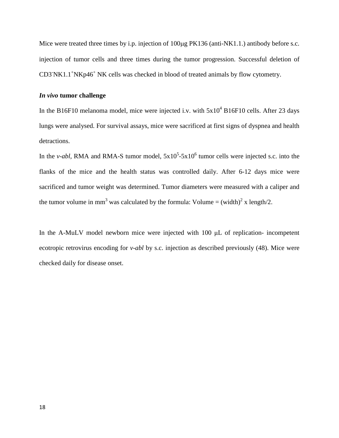Mice were treated three times by i.p. injection of  $100\mu$ g PK136 (anti-NK1.1.) antibody before s.c. injection of tumor cells and three times during the tumor progression. Successful deletion of CD3`NK1.1<sup>+</sup>NKp46<sup>+</sup> NK cells was checked in blood of treated animals by flow cytometry.

### *In vivo* **tumor challenge**

In the B16F10 melanoma model, mice were injected i.v. with  $5x10^4$  B16F10 cells. After 23 days lungs were analysed. For survival assays, mice were sacrificed at first signs of dyspnea and health detractions.

In the *v*-abl, RMA and RMA-S tumor model,  $5x10^5$ -5x10<sup>6</sup> tumor cells were injected s.c. into the flanks of the mice and the health status was controlled daily. After 6-12 days mice were sacrificed and tumor weight was determined. Tumor diameters were measured with a caliper and the tumor volume in mm<sup>3</sup> was calculated by the formula: Volume = (width)<sup>2</sup> x length/2.

In the A-MuLV model newborn mice were injected with 100 μL of replication- incompetent ecotropic retrovirus encoding for *v-abl* by s.c. injection as described previously (48). Mice were checked daily for disease onset.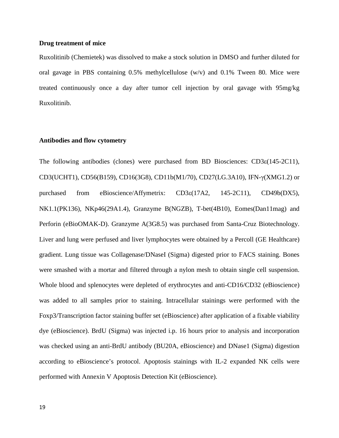## **Drug treatment of mice**

Ruxolitinib (Chemietek) was dissolved to make a stock solution in DMSO and further diluted for oral gavage in PBS containing 0.5% methylcellulose (w/v) and 0.1% Tween 80. Mice were treated continuously once a day after tumor cell injection by oral gavage with 95mg/kg Ruxolitinib.

#### **Antibodies and flow cytometry**

The following antibodies (clones) were purchased from BD Biosciences: CD3ε(145-2C11), CD3(UCHT1), CD56(B159), CD16(3G8), CD11b(M1/70), CD27(LG.3A10), IFN-γ(XMG1.2) or purchased from eBioscience/Affymetrix: CD3ε(17A2, 145-2C11), CD49b(DX5), NK1.1(PK136), NKp46(29A1.4), Granzyme B(NGZB), T-bet(4B10), Eomes(Dan11mag) and Perforin (eBioOMAK-D). Granzyme A(3G8.5) was purchased from Santa-Cruz Biotechnology. Liver and lung were perfused and liver lymphocytes were obtained by a Percoll (GE Healthcare) gradient. Lung tissue was Collagenase/DNaseI (Sigma) digested prior to FACS staining. Bones were smashed with a mortar and filtered through a nylon mesh to obtain single cell suspension. Whole blood and splenocytes were depleted of erythrocytes and anti-CD16/CD32 (eBioscience) was added to all samples prior to staining. Intracellular stainings were performed with the Foxp3/Transcription factor staining buffer set (eBioscience) after application of a fixable viability dye (eBioscience). BrdU (Sigma) was injected i.p. 16 hours prior to analysis and incorporation was checked using an anti-BrdU antibody (BU20A, eBioscience) and DNase1 (Sigma) digestion according to eBioscience's protocol. Apoptosis stainings with IL-2 expanded NK cells were performed with Annexin V Apoptosis Detection Kit (eBioscience).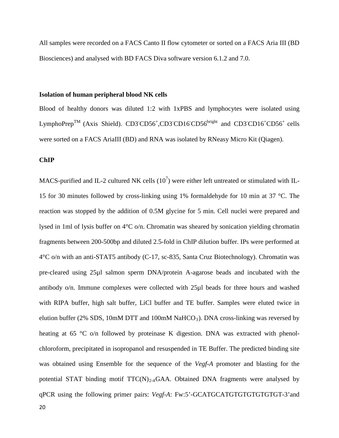All samples were recorded on a FACS Canto II flow cytometer or sorted on a FACS Aria III (BD Biosciences) and analysed with BD FACS Diva software version 6.1.2 and 7.0.

#### **Isolation of human peripheral blood NK cells**

Blood of healthy donors was diluted 1:2 with 1xPBS and lymphocytes were isolated using LymphoPrep<sup>TM</sup> (Axis Shield). CD3<sup>-</sup>CD56<sup>+</sup>,CD3<sup>-</sup>CD16<sup>-</sup>CD56<sup>bright</sup> and CD3<sup>-</sup>CD16<sup>+</sup>CD56<sup>+</sup> cells were sorted on a FACS AriaIII (BD) and RNA was isolated by RNeasy Micro Kit (Qiagen).

**ChIP**

MACS-purified and IL-2 cultured NK cells  $(10^7)$  were either left untreated or stimulated with IL-15 for 30 minutes followed by cross-linking using 1% formaldehyde for 10 min at 37 °C. The reaction was stopped by the addition of 0.5M glycine for 5 min. Cell nuclei were prepared and lysed in 1ml of lysis buffer on 4°C o/n. Chromatin was sheared by sonication yielding chromatin fragments between 200-500bp and diluted 2.5-fold in ChIP dilution buffer. IPs were performed at 4°C o/n with an anti-STAT5 antibody (C-17, sc-835, Santa Cruz Biotechnology). Chromatin was pre-cleared using 25µl salmon sperm DNA/protein A-agarose beads and incubated with the antibody o/n. Immune complexes were collected with 25µl beads for three hours and washed with RIPA buffer, high salt buffer, LiCl buffer and TE buffer. Samples were eluted twice in elution buffer (2% SDS, 10mM DTT and 100mM NaHCO<sub>3</sub>). DNA cross-linking was reversed by heating at 65 °C o/n followed by proteinase K digestion. DNA was extracted with phenolchloroform, precipitated in isopropanol and resuspended in TE Buffer. The predicted binding site was obtained using Ensemble for the sequence of the *Vegf-A* promoter and blasting for the potential STAT binding motif  $TTC(N)<sub>2-4</sub>GAA$ . Obtained DNA fragments were analysed by qPCR using the following primer pairs: *Vegf-A*: Fw:5'-GCATGCATGTGTGTGTGTGT-3'and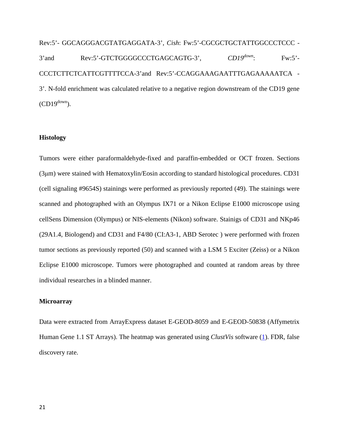Rev:5'- GGCAGGGACGTATGAGGATA-3', *Cish*: Fw:5'-CGCGCTGCTATTGGCCCTCCC - 3'and Rev:5'-GTCTGGGGCCCTGAGCAGTG-3', *CD19down*: Fw:5'- CCCTCTTCTCATTCGTTTTCCA-3'and Rev:5'-CCAGGAAAGAATTTGAGAAAAATCA - 3'. N-fold enrichment was calculated relative to a negative region downstream of the CD19 gene  $(CD19^{\text{down}})$ .

#### **Histology**

Tumors were either paraformaldehyde-fixed and paraffin-embedded or OCT frozen. Sections (3μm) were stained with Hematoxylin/Eosin according to standard histological procedures. CD31 (cell signaling #9654S) stainings were performed as previously reported (49). The stainings were scanned and photographed with an Olympus IX71 or a Nikon Eclipse E1000 microscope using cellSens Dimension (Olympus) or NIS-elements (Nikon) software. Stainigs of CD31 and NKp46 (29A1.4, Biologend) and CD31 and F4/80 (CI:A3-1, ABD Serotec ) were performed with frozen tumor sections as previously reported (50) and scanned with a LSM 5 Exciter (Zeiss) or a Nikon Eclipse E1000 microscope. Tumors were photographed and counted at random areas by three individual researches in a blinded manner.

#### **Microarray**

Data were extracted from ArrayExpress dataset E-GEOD-8059 and E-GEOD-50838 (Affymetrix Human Gene 1.1 ST Arrays). The heatmap was generated using *ClustVis* software (1). FDR, false discovery rate.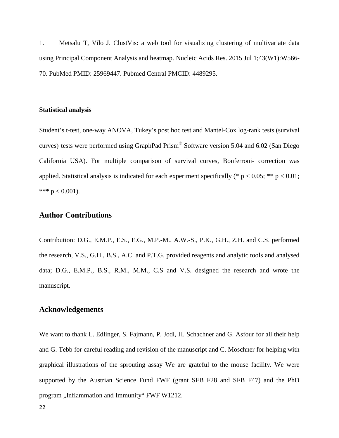1. Metsalu T, Vilo J. ClustVis: a web tool for visualizing clustering of multivariate data using Principal Component Analysis and heatmap. Nucleic Acids Res. 2015 Jul 1;43(W1):W566- 70. PubMed PMID: 25969447. Pubmed Central PMCID: 4489295.

#### **Statistical analysis**

Student's t-test, one-way ANOVA, Tukey's post hoc test and Mantel-Cox log-rank tests (survival curves) tests were performed using GraphPad Prism® Software version 5.04 and 6.02 (San Diego California USA). For multiple comparison of survival curves, Bonferroni- correction was applied. Statistical analysis is indicated for each experiment specifically (\*  $p < 0.05$ ; \*\*  $p < 0.01$ ; \*\*\*  $p < 0.001$ ).

## **Author Contributions**

Contribution: D.G., E.M.P., E.S., E.G., M.P.-M., A.W.-S., P.K., G.H., Z.H. and C.S. performed the research, V.S., G.H., B.S., A.C. and P.T.G. provided reagents and analytic tools and analysed data; D.G., E.M.P., B.S., R.M., M.M., C.S and V.S. designed the research and wrote the manuscript.

### **Acknowledgements**

We want to thank L. Edlinger, S. Fajmann, P. Jodl, H. Schachner and G. Asfour for all their help and G. Tebb for careful reading and revision of the manuscript and C. Moschner for helping with graphical illustrations of the sprouting assay We are grateful to the mouse facility. We were supported by the Austrian Science Fund FWF (grant SFB F28 and SFB F47) and the PhD program "Inflammation and Immunity" FWF W1212.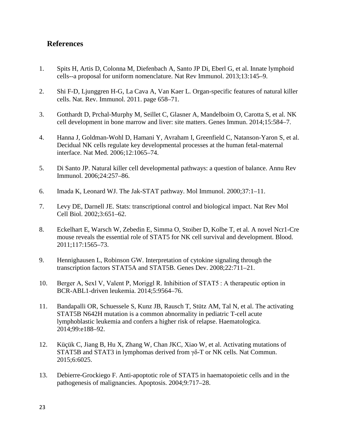# **References**

- 1. Spits H, Artis D, Colonna M, Diefenbach A, Santo JP Di, Eberl G, et al. Innate lymphoid cells--a proposal for uniform nomenclature. Nat Rev Immunol. 2013;13:145–9.
- 2. Shi F-D, Ljunggren H-G, La Cava A, Van Kaer L. Organ-specific features of natural killer cells. Nat. Rev. Immunol. 2011. page 658–71.
- 3. Gotthardt D, Prchal-Murphy M, Seillet C, Glasner A, Mandelboim O, Carotta S, et al. NK cell development in bone marrow and liver: site matters. Genes Immun. 2014;15:584–7.
- 4. Hanna J, Goldman-Wohl D, Hamani Y, Avraham I, Greenfield C, Natanson-Yaron S, et al. Decidual NK cells regulate key developmental processes at the human fetal-maternal interface. Nat Med. 2006;12:1065–74.
- 5. Di Santo JP. Natural killer cell developmental pathways: a question of balance. Annu Rev Immunol. 2006;24:257–86.
- 6. Imada K, Leonard WJ. The Jak-STAT pathway. Mol Immunol. 2000;37:1–11.
- 7. Levy DE, Darnell JE. Stats: transcriptional control and biological impact. Nat Rev Mol Cell Biol. 2002;3:651–62.
- 8. Eckelhart E, Warsch W, Zebedin E, Simma O, Stoiber D, Kolbe T, et al. A novel Ncr1-Cre mouse reveals the essential role of STAT5 for NK cell survival and development. Blood. 2011;117:1565–73.
- 9. Hennighausen L, Robinson GW. Interpretation of cytokine signaling through the transcription factors STAT5A and STAT5B. Genes Dev. 2008;22:711–21.
- 10. Berger A, Sexl V, Valent P, Moriggl R. Inhibition of STAT5 : A therapeutic option in BCR-ABL1-driven leukemia. 2014;5:9564–76.
- 11. Bandapalli OR, Schuessele S, Kunz JB, Rausch T, Stütz AM, Tal N, et al. The activating STAT5B N642H mutation is a common abnormality in pediatric T-cell acute lymphoblastic leukemia and confers a higher risk of relapse. Haematologica. 2014;99:e188–92.
- 12. Küçük C, Jiang B, Hu X, Zhang W, Chan JKC, Xiao W, et al. Activating mutations of STAT5B and STAT3 in lymphomas derived from γδ-T or NK cells. Nat Commun. 2015;6:6025.
- 13. Debierre-Grockiego F. Anti-apoptotic role of STAT5 in haematopoietic cells and in the pathogenesis of malignancies. Apoptosis. 2004;9:717–28.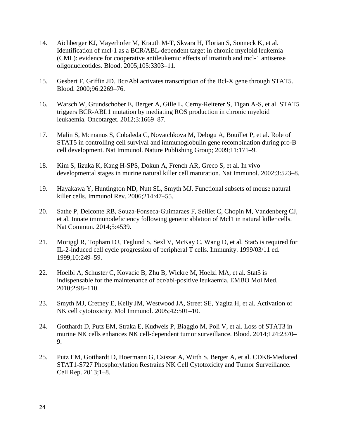- 14. Aichberger KJ, Mayerhofer M, Krauth M-T, Skvara H, Florian S, Sonneck K, et al. Identification of mcl-1 as a BCR/ABL-dependent target in chronic myeloid leukemia (CML): evidence for cooperative antileukemic effects of imatinib and mcl-1 antisense oligonucleotides. Blood. 2005;105:3303–11.
- 15. Gesbert F, Griffin JD. Bcr/Abl activates transcription of the Bcl-X gene through STAT5. Blood. 2000;96:2269–76.
- 16. Warsch W, Grundschober E, Berger A, Gille L, Cerny-Reiterer S, Tigan A-S, et al. STAT5 triggers BCR-ABL1 mutation by mediating ROS production in chronic myeloid leukaemia. Oncotarget. 2012;3:1669–87.
- 17. Malin S, Mcmanus S, Cobaleda C, Novatchkova M, Delogu A, Bouillet P, et al. Role of STAT5 in controlling cell survival and immunoglobulin gene recombination during pro-B cell development. Nat Immunol. Nature Publishing Group; 2009;11:171–9.
- 18. Kim S, Iizuka K, Kang H-SPS, Dokun A, French AR, Greco S, et al. In vivo developmental stages in murine natural killer cell maturation. Nat Immunol. 2002;3:523–8.
- 19. Hayakawa Y, Huntington ND, Nutt SL, Smyth MJ. Functional subsets of mouse natural killer cells. Immunol Rev. 2006;214:47–55.
- 20. Sathe P, Delconte RB, Souza-Fonseca-Guimaraes F, Seillet C, Chopin M, Vandenberg CJ, et al. Innate immunodeficiency following genetic ablation of Mcl1 in natural killer cells. Nat Commun. 2014;5:4539.
- 21. Moriggl R, Topham DJ, Teglund S, Sexl V, McKay C, Wang D, et al. Stat5 is required for IL-2-induced cell cycle progression of peripheral T cells. Immunity. 1999/03/11 ed. 1999;10:249–59.
- 22. Hoelbl A, Schuster C, Kovacic B, Zhu B, Wickre M, Hoelzl MA, et al. Stat5 is indispensable for the maintenance of bcr/abl-positive leukaemia. EMBO Mol Med. 2010;2:98–110.
- 23. Smyth MJ, Cretney E, Kelly JM, Westwood JA, Street SE, Yagita H, et al. Activation of NK cell cytotoxicity. Mol Immunol. 2005;42:501–10.
- 24. Gotthardt D, Putz EM, Straka E, Kudweis P, Biaggio M, Poli V, et al. Loss of STAT3 in murine NK cells enhances NK cell-dependent tumor surveillance. Blood. 2014;124:2370– 9.
- 25. Putz EM, Gotthardt D, Hoermann G, Csiszar A, Wirth S, Berger A, et al. CDK8-Mediated STAT1-S727 Phosphorylation Restrains NK Cell Cytotoxicity and Tumor Surveillance. Cell Rep. 2013;1–8.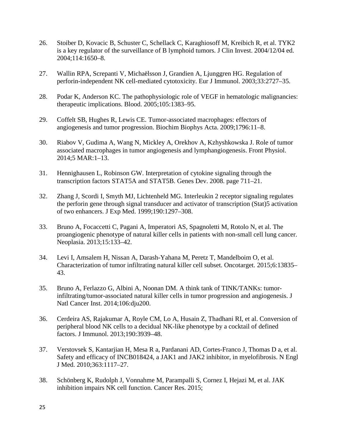- 26. Stoiber D, Kovacic B, Schuster C, Schellack C, Karaghiosoff M, Kreibich R, et al. TYK2 is a key regulator of the surveillance of B lymphoid tumors. J Clin Invest. 2004/12/04 ed. 2004;114:1650–8.
- 27. Wallin RPA, Screpanti V, Michaëlsson J, Grandien A, Ljunggren HG. Regulation of perforin-independent NK cell-mediated cytotoxicity. Eur J Immunol. 2003;33:2727–35.
- 28. Podar K, Anderson KC. The pathophysiologic role of VEGF in hematologic malignancies: therapeutic implications. Blood. 2005;105:1383–95.
- 29. Coffelt SB, Hughes R, Lewis CE. Tumor-associated macrophages: effectors of angiogenesis and tumor progression. Biochim Biophys Acta. 2009;1796:11–8.
- 30. Riabov V, Gudima A, Wang N, Mickley A, Orekhov A, Kzhyshkowska J. Role of tumor associated macrophages in tumor angiogenesis and lymphangiogenesis. Front Physiol. 2014;5 MAR:1–13.
- 31. Hennighausen L, Robinson GW. Interpretation of cytokine signaling through the transcription factors STAT5A and STAT5B. Genes Dev. 2008. page 711–21.
- 32. Zhang J, Scordi I, Smyth MJ, Lichtenheld MG. Interleukin 2 receptor signaling regulates the perforin gene through signal transducer and activator of transcription (Stat)5 activation of two enhancers. J Exp Med. 1999;190:1297–308.
- 33. Bruno A, Focaccetti C, Pagani A, Imperatori AS, Spagnoletti M, Rotolo N, et al. The proangiogenic phenotype of natural killer cells in patients with non-small cell lung cancer. Neoplasia. 2013;15:133–42.
- 34. Levi I, Amsalem H, Nissan A, Darash-Yahana M, Peretz T, Mandelboim O, et al. Characterization of tumor infiltrating natural killer cell subset. Oncotarget. 2015;6:13835– 43.
- 35. Bruno A, Ferlazzo G, Albini A, Noonan DM. A think tank of TINK/TANKs: tumorinfiltrating/tumor-associated natural killer cells in tumor progression and angiogenesis. J Natl Cancer Inst. 2014;106:dju200.
- 36. Cerdeira AS, Rajakumar A, Royle CM, Lo A, Husain Z, Thadhani RI, et al. Conversion of peripheral blood NK cells to a decidual NK-like phenotype by a cocktail of defined factors. J Immunol. 2013;190:3939–48.
- 37. Verstovsek S, Kantarjian H, Mesa R a, Pardanani AD, Cortes-Franco J, Thomas D a, et al. Safety and efficacy of INCB018424, a JAK1 and JAK2 inhibitor, in myelofibrosis. N Engl J Med. 2010;363:1117–27.
- 38. Schönberg K, Rudolph J, Vonnahme M, Parampalli S, Cornez I, Hejazi M, et al. JAK inhibition impairs NK cell function. Cancer Res. 2015;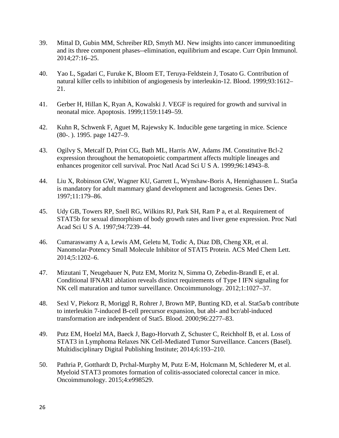- 39. Mittal D, Gubin MM, Schreiber RD, Smyth MJ. New insights into cancer immunoediting and its three component phases--elimination, equilibrium and escape. Curr Opin Immunol. 2014;27:16–25.
- 40. Yao L, Sgadari C, Furuke K, Bloom ET, Teruya-Feldstein J, Tosato G. Contribution of natural killer cells to inhibition of angiogenesis by interleukin-12. Blood. 1999;93:1612– 21.
- 41. Gerber H, Hillan K, Ryan A, Kowalski J. VEGF is required for growth and survival in neonatal mice. Apoptosis. 1999;1159:1149–59.
- 42. Kuhn R, Schwenk F, Aguet M, Rajewsky K. Inducible gene targeting in mice. Science (80-. ). 1995. page 1427–9.
- 43. Ogilvy S, Metcalf D, Print CG, Bath ML, Harris AW, Adams JM. Constitutive Bcl-2 expression throughout the hematopoietic compartment affects multiple lineages and enhances progenitor cell survival. Proc Natl Acad Sci U S A. 1999;96:14943–8.
- 44. Liu X, Robinson GW, Wagner KU, Garrett L, Wynshaw-Boris A, Hennighausen L. Stat5a is mandatory for adult mammary gland development and lactogenesis. Genes Dev. 1997;11:179–86.
- 45. Udy GB, Towers RP, Snell RG, Wilkins RJ, Park SH, Ram P a, et al. Requirement of STAT5b for sexual dimorphism of body growth rates and liver gene expression. Proc Natl Acad Sci U S A. 1997;94:7239–44.
- 46. Cumaraswamy A a, Lewis AM, Geletu M, Todic A, Diaz DB, Cheng XR, et al. Nanomolar-Potency Small Molecule Inhibitor of STAT5 Protein. ACS Med Chem Lett. 2014;5:1202–6.
- 47. Mizutani T, Neugebauer N, Putz EM, Moritz N, Simma O, Zebedin-Brandl E, et al. Conditional IFNAR1 ablation reveals distinct requirements of Type I IFN signaling for NK cell maturation and tumor surveillance. Oncoimmunology. 2012;1:1027–37.
- 48. Sexl V, Piekorz R, Moriggl R, Rohrer J, Brown MP, Bunting KD, et al. Stat5a/b contribute to interleukin 7-induced B-cell precursor expansion, but abl- and bcr/abl-induced transformation are independent of Stat5. Blood. 2000;96:2277–83.
- 49. Putz EM, Hoelzl MA, Baeck J, Bago-Horvath Z, Schuster C, Reichholf B, et al. Loss of STAT3 in Lymphoma Relaxes NK Cell-Mediated Tumor Surveillance. Cancers (Basel). Multidisciplinary Digital Publishing Institute; 2014;6:193–210.
- 50. Pathria P, Gotthardt D, Prchal-Murphy M, Putz E-M, Holcmann M, Schlederer M, et al. Myeloid STAT3 promotes formation of colitis-associated colorectal cancer in mice. Oncoimmunology. 2015;4:e998529.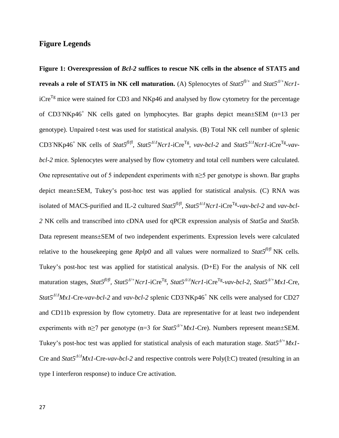# **Figure Legends**

**Figure 1: Overexpression of** *Bcl-2* **suffices to rescue NK cells in the absence of STAT5 and reveals a role of STAT5 in NK cell maturation.** (A) Splenocytes of *Stat5fl/+* and *Stat5<sup>Δ</sup>/+Ncr1*  $iCre^{Tg}$  mice were stained for CD3 and NKp46 and analysed by flow cytometry for the percentage of CD3<sup>-</sup>NKp46<sup>+</sup> NK cells gated on lymphocytes. Bar graphs depict mean±SEM (n=13 per genotype). Unpaired t-test was used for statistical analysis. (B) Total NK cell number of splenic CD3<sup>-</sup>NKp46<sup>+</sup> NK cells of *Stat5<sup><i>fl/fl*</sup>, *Stat5<sup>* $A/A$ *</sup>Ncr1*-iCre<sup>Tg</sup>, *vav-bcl-2* and *Stat5<sup>* $A/A$ *</sup>Ncr1*-iCre<sup>Tg</sup>-*vavbcl-2* mice*.* Splenocytes were analysed by flow cytometry and total cell numbers were calculated. One representative out of 5 independent experiments with  $n \geq 5$  per genotype is shown. Bar graphs depict mean±SEM, Tukey's post-hoc test was applied for statistical analysis. (C) RNA was isolated of MACS-purified and IL-2 cultured *Stat5<sup>fl/fl</sup>*, *Stat5<sup>* $A/A$ *</sup>Ncr1*-iCre<sup>Tg</sup>-*vav-bcl*-2 and *vav-bcl*-*2* NK cells and transcribed into cDNA used for qPCR expression analysis of *Stat5a* and *Stat5b.* Data represent means±SEM of two independent experiments. Expression levels were calculated relative to the housekeeping gene  $Rplp0$  and all values were normalized to  $Stat5<sup>fl/fl</sup> NK$  cells. Tukey's post-hoc test was applied for statistical analysis. (D+E) For the analysis of NK cell maturation stages, *Stat5fl/fl, Stat5Δ/+Ncr1-*iCreTg, *Stat5<sup>Δ</sup>/<sup>Δ</sup> Ncr1-*iCreTg-*vav-bcl-2, Stat5<sup>Δ</sup>/+Mx1-*Cre, *Stat5<sup>Δ</sup>/<sup>Δ</sup> Mx1-*Cre-*vav-bcl-2* and *vav-bcl-2* splenic CD3- NKp46+ NK cells were analysed for CD27 and CD11b expression by flow cytometry. Data are representative for at least two independent experiments with n≥7 per genotype (n=3 for *Stat5<sup>* $A$ */+</sup>Mx1*-Cre). Numbers represent mean±SEM. Tukey's post-hoc test was applied for statistical analysis of each maturation stage. *Stat5<sup>Δ</sup>/+Mx1-* Cre and *Stat5<sup>Δ</sup>/<sup>Δ</sup> Mx1-*Cre-*vav-bcl-2* and respective controls were Poly(I:C) treated (resulting in an type I interferon response) to induce Cre activation.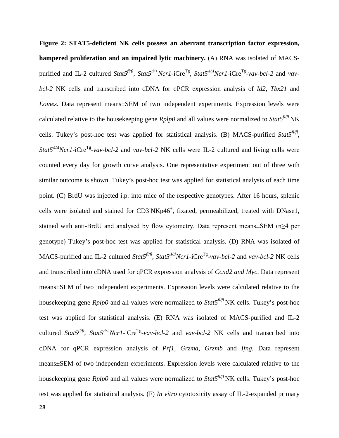**Figure 2: STAT5-deficient NK cells possess an aberrant transcription factor expression, hampered proliferation and an impaired lytic machinery.** (A) RNA was isolated of MACSpurified and IL-2 cultured *Stat5<sup>* $fU/fI$ *</sup>, Stat5<sup>* $A/+$ *</sup>Ncr1*-iCre<sup>Tg</sup>, *Stat5*<sup> $A/A$ </sup>Ncr1-iCre<sup>Tg</sup>-*vav-bcl-2* and *vavbcl-2* NK cells and transcribed into cDNA for qPCR expression analysis of *Id2, Tbx21* and *Eomes.* Data represent means±SEM of two independent experiments. Expression levels were calculated relative to the housekeeping gene  $Rplp0$  and all values were normalized to  $Stat5<sup>fl/fl</sup> NK$ cells. Tukey's post-hoc test was applied for statistical analysis. (B) MACS-purified *Stat5<sup>fl/fl</sup>*, *Stat5<sup>* $\Delta$ */Δ</sup>Ncr1-iCre<sup>Tg</sup>-<i>vav-bcl-2* and *vav-bcl-2* NK cells were IL-2 cultured and living cells were counted every day for growth curve analysis. One representative experiment out of three with similar outcome is shown. Tukey's post-hoc test was applied for statistical analysis of each time point. (C) BrdU was injected i.p. into mice of the respective genotypes. After 16 hours, splenic cells were isolated and stained for CD3 NKp46<sup>+</sup>, fixated, permeabilized, treated with DNase1, stained with anti-BrdU and analysed by flow cytometry. Data represent means±SEM (n≥4 per genotype) Tukey's post-hoc test was applied for statistical analysis. (D) RNA was isolated of MACS-purified and IL−2 cultured *Stat5<sup>fl/fl</sup>*, *Stat5<sup>* $A/A$ *</sup>Ncr1*-iCre<sup>Tg</sup>-*vav-bcl-2* and *vav-bcl-2* NK cells and transcribed into cDNA used for qPCR expression analysis of *Ccnd2 and Myc*. Data represent means±SEM of two independent experiments. Expression levels were calculated relative to the housekeeping gene *Rplp0* and all values were normalized to *Stat5fl/fl* NK cells. Tukey's post-hoc test was applied for statistical analysis. (E) RNA was isolated of MACS-purified and IL-2 cultured *Stat5<sup>fl/fl</sup>*, *Stat5<sup>* $A/A$ *</sup>Ncr1*-iCre<sup>Tg</sup>-*vav-bcl-2* and *vav-bcl-2* NK cells and transcribed into cDNA for qPCR expression analysis of *Prf1, Grzma, Grzmb* and *Ifng.* Data represent means±SEM of two independent experiments. Expression levels were calculated relative to the housekeeping gene *Rplp0* and all values were normalized to *Stat5fl/fl* NK cells. Tukey's post-hoc test was applied for statistical analysis. (F) *In vitro* cytotoxicity assay of IL-2-expanded primary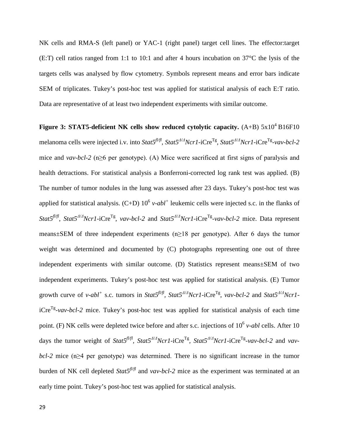NK cells and RMA-S (left panel) or YAC-1 (right panel) target cell lines. The effector:target (E:T) cell ratios ranged from 1:1 to 10:1 and after 4 hours incubation on 37°C the lysis of the targets cells was analysed by flow cytometry. Symbols represent means and error bars indicate SEM of triplicates. Tukey's post-hoc test was applied for statistical analysis of each E:T ratio. Data are representative of at least two independent experiments with similar outcome.

**Figure 3: STAT5-deficient NK cells show reduced cytolytic capacity.**  $(A+B)$  5x10<sup>4</sup> B16F10 melanoma cells were injected i.v. into *Stat5fl/fl, Stat5Δ/<sup>Δ</sup> Ncr1*-iCreTg, *Stat5<sup>Δ</sup>/<sup>Δ</sup> Ncr1-*iCreTg-*vav-bcl-2*  mice and *vav-bcl-2* (n≥6 per genotype). (A) Mice were sacrificed at first signs of paralysis and health detractions. For statistical analysis a Bonferroni-corrected log rank test was applied. (B) The number of tumor nodules in the lung was assessed after 23 days. Tukey's post-hoc test was applied for statistical analysis.  $(C+D) 10^6$  *v-abl*<sup>+</sup> leukemic cells were injected s.c. in the flanks of *Stat5fl/fl, Stat5Δ/<sup>Δ</sup> Ncr1*-iCreTg, *vav-bcl-2* and *Stat5<sup>Δ</sup>/<sup>Δ</sup> Ncr1-*iCreTg-*vav-bcl-2* mice. Data represent means±SEM of three independent experiments (n≥18 per genotype). After 6 days the tumor weight was determined and documented by (C) photographs representing one out of three independent experiments with similar outcome. (D) Statistics represent means±SEM of two independent experiments. Tukey's post-hoc test was applied for statistical analysis. (E) Tumor growth curve of *v-abl<sup>+</sup>* s.c. tumors in *Stat5<sup>* $fU/f$ *</sup>, Stat5*<sup> $A/A$ </sup>*Ncr1*-iCre<sup>Tg</sup>, *vav-bcl-2* and *Stat5*<sup> $A/A$ </sup>*Ncr1* $iCre^{Tg}$ -*vav-bcl-2* mice. Tukey's post-hoc test was applied for statistical analysis of each time point. (F) NK cells were depleted twice before and after s.c. injections of  $10^6$  *v-abl* cells. After 10 days the tumor weight of *Stat5fl/fl, Stat5<sup>Δ</sup>/<sup>Δ</sup> Ncr1*-iCreTg*, Stat5<sup>Δ</sup>/<sup>Δ</sup> Ncr1-*iCreTg-*vav-bcl-2* and *vavbcl-2* mice (n≥4 per genotype) was determined. There is no significant increase in the tumor burden of NK cell depleted *Stat5<sup><i>fl/fl*</sup> and *vav-bcl-2* mice as the experiment was terminated at an early time point. Tukey's post-hoc test was applied for statistical analysis.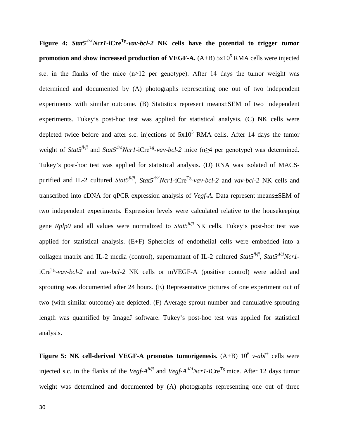**Figure 4:** *Stat5<sup>Δ</sup>/<sup>Δ</sup> Ncr1-***iCreTg***-vav-bcl-2* **NK cells have the potential to trigger tumor promotion and show increased production of VEGF-A.**  $(A+B)$   $5x10^5$  RMA cells were injected s.c. in the flanks of the mice (n≥12 per genotype). After 14 days the tumor weight was determined and documented by (A) photographs representing one out of two independent experiments with similar outcome. (B) Statistics represent means±SEM of two independent experiments. Tukey's post-hoc test was applied for statistical analysis. (C) NK cells were depleted twice before and after s.c. injections of  $5x10^5$  RMA cells. After 14 days the tumor weight of *Stat5<sup>fl/fl</sup>* and *Stat5<sup>* $A/A$ *</sup>Ncr1*-iCre<sup>Tg</sup>-*vav-bcl-2* mice (n≥4 per genotype) was determined. Tukey's post-hoc test was applied for statistical analysis. (D) RNA was isolated of MACSpurified and IL-2 cultured *Stat5<sup>* $\pi$ *fl</sup>, Stat5*<sup> $\Delta$ / $\Delta$ </sup>*Ncr1*-iCre<sup>Tg</sup>-*vav-bcl-2* and *vav-bcl-2* NK cells and transcribed into cDNA for qPCR expression analysis of *Vegf-A*. Data represent means±SEM of two independent experiments. Expression levels were calculated relative to the housekeeping gene *Rplp0* and all values were normalized to *Stat*<sup> $f^{lf/f}$ </sup> NK cells. Tukey's post-hoc test was applied for statistical analysis. (E+F) Spheroids of endothelial cells were embedded into a collagen matrix and IL-2 media (control), supernantant of IL-2 cultured *Stat5fl/fl*, *Stat5<sup>Δ</sup>/<sup>Δ</sup> Ncr1*  $iCre^{Tg}-vav-bcl-2$  and  $vav-bcl-2$  NK cells or mVEGF-A (positive control) were added and sprouting was documented after 24 hours. (E) Representative pictures of one experiment out of two (with similar outcome) are depicted. (F) Average sprout number and cumulative sprouting length was quantified by ImageJ software. Tukey's post-hoc test was applied for statistical analysis.

**Figure 5: NK cell-derived VEGF-A promotes tumorigenesis.** (A+B)  $10^6$  *v-abl*<sup>+</sup> cells were injected s.c. in the flanks of the *Vegf-A<sup>fl/fl</sup>* and *Vegf-A<sup>* $\Delta/\Delta$ *</sup>Ncr1*-iCre<sup>Tg</sup> mice. After 12 days tumor weight was determined and documented by (A) photographs representing one out of three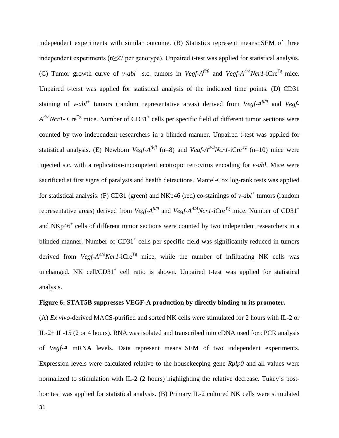independent experiments with similar outcome. (B) Statistics represent means±SEM of three independent experiments (n≥27 per genotype). Unpaired t-test was applied for statistical analysis. (C) Tumor growth curve of *v-abl<sup>+</sup>* s.c. tumors in *Vegf-A<sup>fl/fl</sup>* and *Vegf-A<sup>* $\Delta$ */* $\Delta$ *Ncr1*-iCre<sup>Tg</sup> mice.</sup> Unpaired t-terst was applied for statistical analysis of the indicated time points. (D) CD31 staining of *v-abl<sup>+</sup>* tumors (random representative areas) derived from *Vegf-A<sup>fl/fl</sup>* and *Vegf-A<sup>Δ/Δ</sup>Ncr1*-iCre<sup>Tg</sup> mice. Number of CD31<sup>+</sup> cells per specific field of different tumor sections were counted by two independent researchers in a blinded manner. Unpaired t-test was applied for statistical analysis. (E) Newborn *Vegf-A<sup>fUft</sup>* (n=8) and *Vegf-A<sup>* $\Delta$ */</sup><sup>* $\Delta$ *</sup>/* $\Delta$ *<i>Crl*-iCre<sup>Tg</sup> (n=10) mice were injected s.c. with a replication-incompetent ecotropic retrovirus encoding for *v-abl*. Mice were sacrificed at first signs of paralysis and health detractions. Mantel-Cox log-rank tests was applied for statistical analysis. (F) CD31 (green) and NKp46 (red) co-stainings of *v-abl<sup>+</sup>* tumors (random representative areas) derived from *Vegf-A<sup>fl/fl</sup>* and *Vegf-A<sup>Δ/Δ</sup>Ncr1*-iCre<sup>Tg</sup> mice. Number of CD31<sup>+</sup> and NKp46<sup>+</sup> cells of different tumor sections were counted by two independent researchers in a blinded manner. Number of  $CD31<sup>+</sup>$  cells per specific field was significantly reduced in tumors derived from *Vegf-A<sup>* $\Delta$ */</sup>ANcr1*-iCre<sup>Tg</sup> mice, while the number of infiltrating NK cells was unchanged. NK cell/ $CD31<sup>+</sup>$  cell ratio is shown. Unpaired t-test was applied for statistical analysis.

### **Figure 6: STAT5B suppresses VEGF-A production by directly binding to its promoter.**

(A) *Ex vivo*-derived MACS-purified and sorted NK cells were stimulated for 2 hours with IL-2 or IL-2+ IL-15 (2 or 4 hours). RNA was isolated and transcribed into cDNA used for qPCR analysis of *Vegf-A* mRNA levels. Data represent means±SEM of two independent experiments. Expression levels were calculated relative to the housekeeping gene *Rplp0* and all values were normalized to stimulation with IL-2 (2 hours) highlighting the relative decrease. Tukey's posthoc test was applied for statistical analysis. (B) Primary IL-2 cultured NK cells were stimulated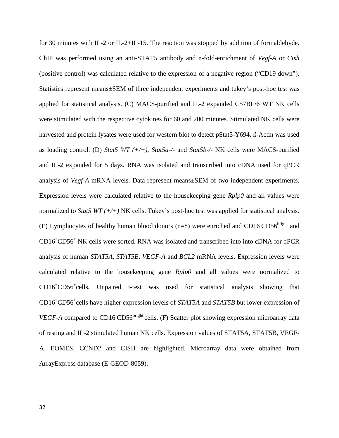for 30 minutes with IL-2 or IL-2+IL-15. The reaction was stopped by addition of formaldehyde. ChIP was performed using an anti-STAT5 antibody and n-fold-enrichment of *Vegf-A* or *Cish* (positive control) was calculated relative to the expression of a negative region ("CD19 down"). Statistics represent means±SEM of three independent experiments and tukey's post-hoc test was applied for statistical analysis. (C) MACS-purified and IL-2 expanded C57BL/6 WT NK cells were stimulated with the respective cytokines for 60 and 200 minutes. Stimulated NK cells were harvested and protein lysates were used for western blot to detect pStat5-Y694. ß-Actin was used as loading control. (D) *Stat5 WT (+/+)*, *Stat5a-/-* and *Stat5b-/-* NK cells were MACS-purified and IL-2 expanded for 5 days. RNA was isolated and transcribed into cDNA used for qPCR analysis of *Vegf-A* mRNA levels. Data represent means±SEM of two independent experiments. Expression levels were calculated relative to the housekeeping gene *Rplp0* and all values were normalized to *Stat5 WT (+/+)* NK cells. Tukey's post-hoc test was applied for statistical analysis. (E) Lymphocytes of healthy human blood donors ( $n=8$ ) were enriched and CD16<sup>-</sup>CD56<sup>bright</sup> and CD16+ CD56+ NK cells were sorted. RNA was isolated and transcribed into into cDNA for qPCR analysis of human *STAT5A*, *STAT5B*, *VEGF-A* and *BCL2* mRNA levels. Expression levels were calculated relative to the housekeeping gene *Rplp0* and all values were normalized to CD16<sup>+</sup> CD56+ cells*.* Unpaired t-test was used for statistical analysis showing that CD16<sup>+</sup> CD56+ cells have higher expression levels of *STAT5A* and *STAT5B* but lower expression of VEGF-A compared to CD16<sup>CD56bright</sup> cells. (F) Scatter plot showing expression microarray data of resting and IL-2 stimulated human NK cells. Expression values of STAT5A, STAT5B, VEGF-A, EOMES, CCND2 and CISH are highlighted. Microarray data were obtained from ArrayExpress database (E-GEOD-8059).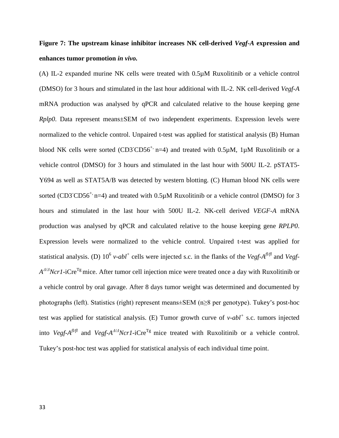# **Figure 7: The upstream kinase inhibitor increases NK cell-derived** *Vegf-A* **expression and enhances tumor promotion** *in vivo.*

(A) IL-2 expanded murine NK cells were treated with 0.5µM Ruxolitinib or a vehicle control (DMSO) for 3 hours and stimulated in the last hour additional with IL-2. NK cell-derived *Vegf-A* mRNA production was analysed by qPCR and calculated relative to the house keeping gene *Rplp0*. Data represent means±SEM of two independent experiments. Expression levels were normalized to the vehicle control. Unpaired t-test was applied for statistical analysis (B) Human blood NK cells were sorted (CD3<sup>-</sup>CD56<sup>+,</sup> n=4) and treated with 0.5 $\mu$ M, 1 $\mu$ M Ruxolitinib or a vehicle control (DMSO) for 3 hours and stimulated in the last hour with 500U IL-2. pSTAT5- Y694 as well as STAT5A/B was detected by western blotting. (C) Human blood NK cells were sorted (CD3<sup>-</sup>CD56<sup>+,</sup> n=4) and treated with  $0.5\mu$ M Ruxolitinib or a vehicle control (DMSO) for 3 hours and stimulated in the last hour with 500U IL-2. NK-cell derived *VEGF-A* mRNA production was analysed by qPCR and calculated relative to the house keeping gene *RPLP0*. Expression levels were normalized to the vehicle control. Unpaired t-test was applied for statistical analysis. (D)  $10^6$  *v*-*abl*<sup>+</sup> cells were injected s.c. in the flanks of the *Vegf-A<sup>fl/fl</sup>* and *Vegf-A<sup>Δ/Δ</sup>Ncr1*-iCre<sup>Tg</sup> mice. After tumor cell injection mice were treated once a day with Ruxolitinib or a vehicle control by oral gavage. After 8 days tumor weight was determined and documented by photographs (left). Statistics (right) represent means±SEM (n≥8 per genotype). Tukey's post-hoc test was applied for statistical analysis. (E) Tumor growth curve of *v-abl<sup>+</sup>* s.c. tumors injected into *Vegf-A<sup>fUfl</sup>* and *Vegf-A<sup>* $\Delta$ */* $\Delta$ *</sup>Ncr1*-iCre<sup>Tg</sup> mice treated with Ruxolitinib or a vehicle control. Tukey's post-hoc test was applied for statistical analysis of each individual time point.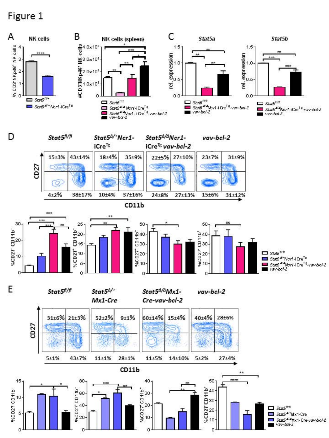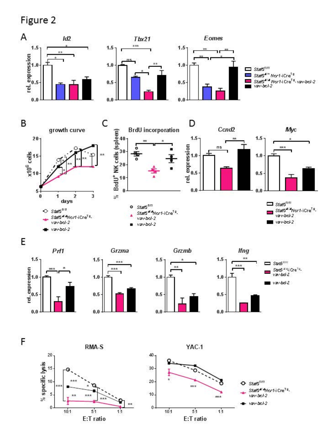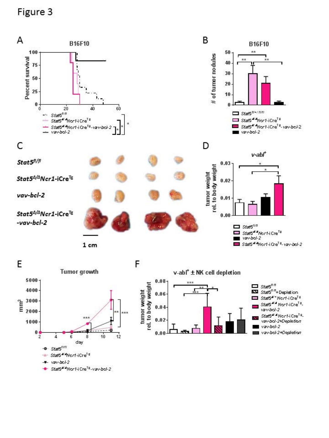

Stat5<sup>4/4</sup>Nor1-iCre<sup>Te</sup>

vav-bol-2 Stat544Nor1-i Cre<sup>Te</sup>-vav-bol-2 ÷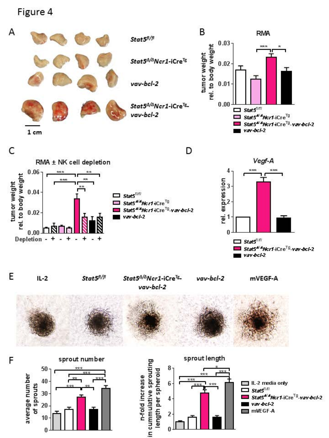$\bf{0}$ 

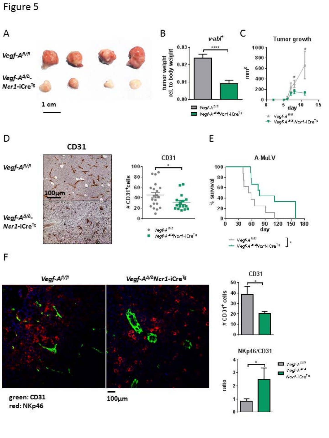

F







green: CD31 red: NKp46

 $100 \mu m$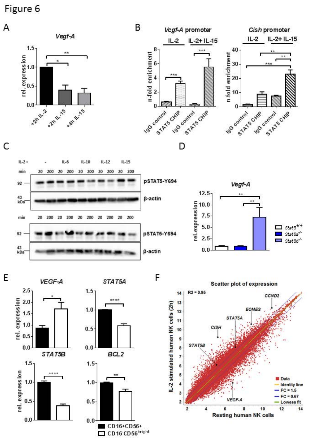

F





E





CD16+CD56+ CD16 CD56bright